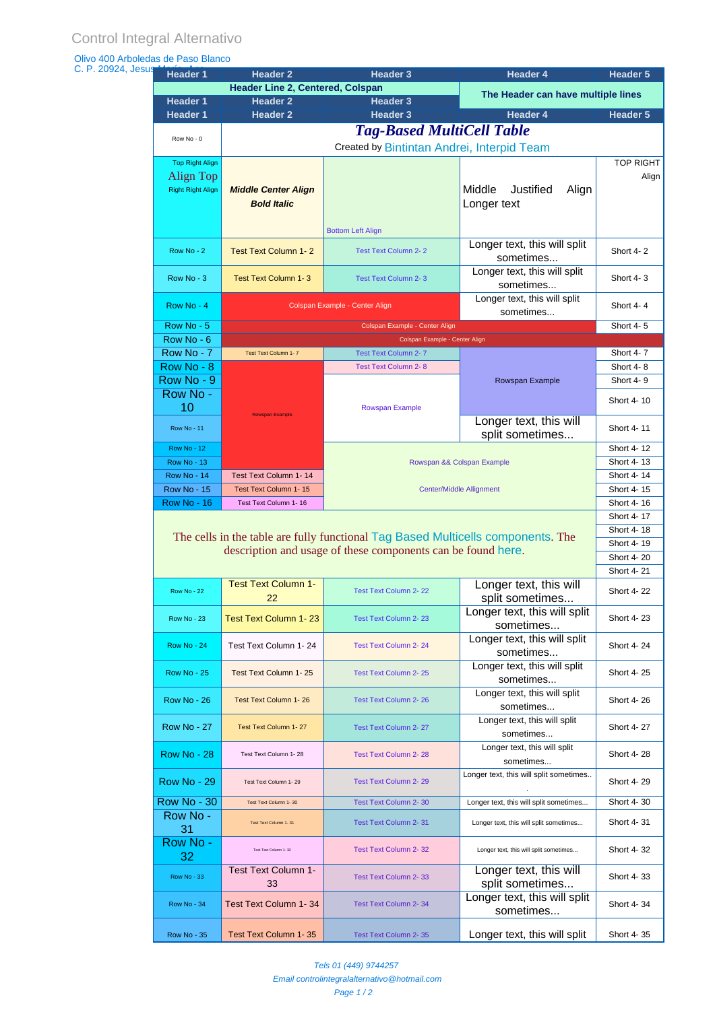| <b>Header 1</b>                          | <b>Header 2</b>                         | <b>Header 3</b>                                                                  | <b>Header 4</b>                           | Header 5                 |
|------------------------------------------|-----------------------------------------|----------------------------------------------------------------------------------|-------------------------------------------|--------------------------|
|                                          | <b>Header Line 2, Centered, Colspan</b> |                                                                                  | The Header can have multiple lines        |                          |
| <b>Header 1</b><br><b>Header 1</b>       | <b>Header 2</b><br><b>Header 2</b>      | <b>Header 3</b><br><b>Header 3</b>                                               | <b>Header 4</b>                           | Header 5                 |
|                                          |                                         | <b>Tag-Based MultiCell Table</b>                                                 |                                           |                          |
| Row No - 0                               |                                         |                                                                                  |                                           |                          |
|                                          |                                         | Created by Bintintan Andrei, Interpid Team                                       |                                           | <b>TOP RIGHT</b>         |
| <b>Top Right Align</b><br>Align Top      |                                         |                                                                                  |                                           | Align                    |
| <b>Right Right Align</b>                 | <b>Middle Center Align</b>              |                                                                                  | Middle<br>Justified<br>Align              |                          |
|                                          | <b>Bold Italic</b>                      |                                                                                  | Longer text                               |                          |
|                                          |                                         |                                                                                  |                                           |                          |
|                                          |                                         | <b>Bottom Left Align</b>                                                         |                                           |                          |
| Row No - 2                               | <b>Test Text Column 1-2</b>             | <b>Test Text Column 2-2</b>                                                      | Longer text, this will split<br>sometimes | Short 4-2                |
|                                          |                                         |                                                                                  | Longer text, this will split              |                          |
| Row No - 3                               | Test Text Column 1-3                    | <b>Test Text Column 2-3</b>                                                      | sometimes                                 | Short 4-3                |
| Row No - 4                               |                                         | Colspan Example - Center Align                                                   | Longer text, this will split              | Short 4-4                |
|                                          |                                         |                                                                                  | sometimes                                 |                          |
| Row No - 5                               |                                         | Colspan Example - Center Align                                                   |                                           | Short 4-5                |
| Row No - 6<br>Row No - 7                 | Test Text Column 1-7                    | Colspan Example - Center Align<br><b>Test Text Column 2-7</b>                    |                                           | Short 4-7                |
| Row No - 8                               |                                         | <b>Test Text Column 2-8</b>                                                      |                                           | Short 4-8                |
| Row No - 9                               |                                         |                                                                                  | Rowspan Example                           | Short 4-9                |
| Row No -                                 |                                         |                                                                                  |                                           |                          |
| 10                                       | <b>Rowspan Example</b>                  | Rowspan Example                                                                  |                                           | Short 4-10               |
| <b>Row No - 11</b>                       |                                         |                                                                                  | Longer text, this will                    | Short 4-11               |
|                                          |                                         |                                                                                  | split sometimes                           | Short 4-12               |
| <b>Row No - 12</b><br><b>Row No - 13</b> |                                         |                                                                                  | Rowspan && Colspan Example                | Short 4-13               |
| <b>Row No - 14</b>                       | Test Text Column 1-14                   |                                                                                  |                                           | Short 4-14               |
| <b>Row No - 15</b>                       | Test Text Column 1-15                   | <b>Center/Middle Allignment</b>                                                  |                                           | Short 4-15               |
| <b>Row No - 16</b>                       | Test Text Column 1-16                   |                                                                                  |                                           | Short 4-16               |
|                                          |                                         |                                                                                  |                                           | Short 4-17               |
|                                          |                                         | The cells in the table are fully functional Tag Based Multicells components. The |                                           | Short 4-18               |
|                                          |                                         | description and usage of these components can be found here.                     |                                           | Short 4-19               |
|                                          |                                         |                                                                                  |                                           | Short 4-20<br>Short 4-21 |
|                                          | <b>Test Text Column 1-</b>              |                                                                                  | Longer text, this will                    |                          |
| <b>Row No - 22</b>                       | 22                                      | Test Text Column 2-22                                                            | split sometimes                           |                          |
| <b>Row No - 23</b>                       |                                         |                                                                                  |                                           | <b>Short 4-22</b>        |
|                                          |                                         |                                                                                  | Longer text, this will split              | Short 4-23               |
|                                          | <b>Test Text Column 1-23</b>            | <b>Test Text Column 2-23</b>                                                     | sometimes                                 |                          |
| <b>Row No - 24</b>                       | Test Text Column 1-24                   | <b>Test Text Column 2-24</b>                                                     | Longer text, this will split              | Short 4-24               |
|                                          |                                         |                                                                                  | sometimes<br>Longer text, this will split |                          |
| <b>Row No - 25</b>                       | Test Text Column 1-25                   | Test Text Column 2-25                                                            | sometimes                                 | Short 4-25               |
|                                          |                                         |                                                                                  | Longer text, this will split              |                          |
| <b>Row No - 26</b>                       | <b>Test Text Column 1-26</b>            | <b>Test Text Column 2-26</b>                                                     | sometimes                                 | Short 4-26               |
| <b>Row No - 27</b>                       | Test Text Column 1-27                   | <b>Test Text Column 2-27</b>                                                     | Longer text, this will split              | Short 4-27               |
|                                          |                                         |                                                                                  | sometimes                                 |                          |
| <b>Row No - 28</b>                       | Test Text Column 1-28                   | <b>Test Text Column 2-28</b>                                                     | Longer text, this will split<br>sometimes | Short 4-28               |
|                                          |                                         |                                                                                  | Longer text, this will split sometimes    |                          |
| <b>Row No - 29</b>                       | Test Text Column 1-29                   | <b>Test Text Column 2-29</b>                                                     |                                           | Short 4-29               |
| <b>Row No - 30</b>                       | Test Text Column 1-30                   | Test Text Column 2-30                                                            | Longer text, this will split sometimes    | Short 4-30               |
| Row No -                                 | Test Text Column 1-31                   | Test Text Column 2-31                                                            | Longer text, this will split sometimes    | Short 4-31               |
| 31                                       |                                         |                                                                                  |                                           |                          |
| Row No -<br>32                           | Test Text Column 1-32                   | <b>Test Text Column 2-32</b>                                                     | Longer text, this will split sometimes    | Short 4-32               |
|                                          | Test Text Column 1-                     |                                                                                  | Longer text, this will                    |                          |
| <b>Row No - 33</b>                       | 33                                      | <b>Test Text Column 2-33</b>                                                     | split sometimes                           | Short 4-33               |
| <b>Row No - 34</b>                       | Test Text Column 1-34                   | <b>Test Text Column 2-34</b>                                                     | Longer text, this will split              | Short 4-34               |
|                                          |                                         |                                                                                  | sometimes                                 |                          |